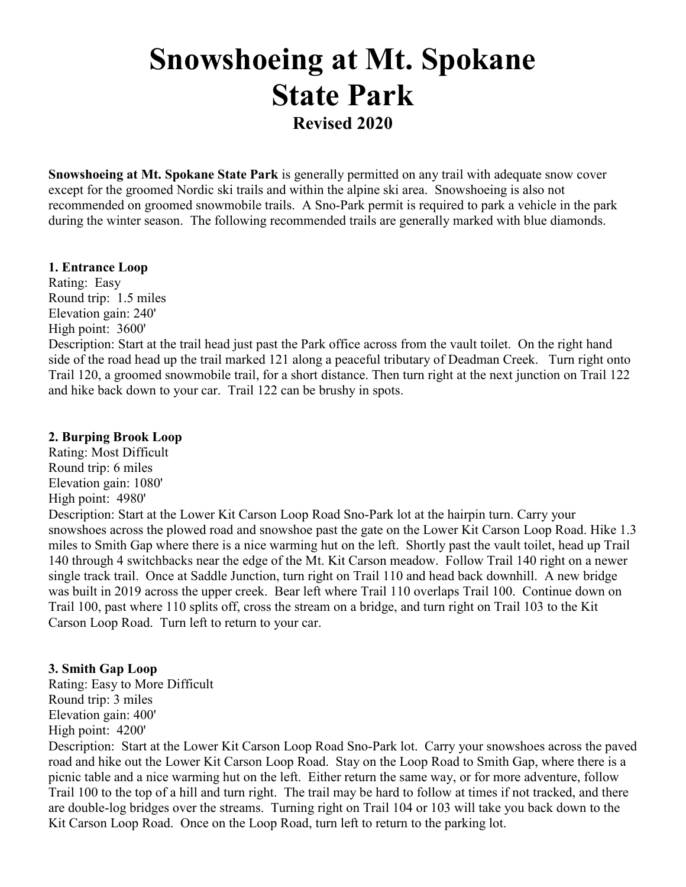# **Snowshoeing at Mt. Spokane State Park Revised 2020**

**Snowshoeing at Mt. Spokane State Park** is generally permitted on any trail with adequate snow cover except for the groomed Nordic ski trails and within the alpine ski area. Snowshoeing is also not recommended on groomed snowmobile trails. A Sno-Park permit is required to park a vehicle in the park during the winter season. The following recommended trails are generally marked with blue diamonds.

#### **1. Entrance Loop**

Rating: Easy Round trip: 1.5 miles Elevation gain: 240' High point: 3600'

Description: Start at the trail head just past the Park office across from the vault toilet. On the right hand side of the road head up the trail marked 121 along a peaceful tributary of Deadman Creek. Turn right onto Trail 120, a groomed snowmobile trail, for a short distance. Then turn right at the next junction on Trail 122 and hike back down to your car. Trail 122 can be brushy in spots.

#### **2. Burping Brook Loop**

Rating: Most Difficult Round trip: 6 miles Elevation gain: 1080' High point: 4980' Description: Start at the Lower Kit Carson Loop Road Sno-Park lot at the hairpin turn. Carry your snowshoes across the plowed road and snowshoe past the gate on the Lower Kit Carson Loop Road. Hike 1.3 miles to Smith Gap where there is a nice warming hut on the left. Shortly past the vault toilet, head up Trail 140 through 4 switchbacks near the edge of the Mt. Kit Carson meadow. Follow Trail 140 right on a newer single track trail. Once at Saddle Junction, turn right on Trail 110 and head back downhill. A new bridge was built in 2019 across the upper creek. Bear left where Trail 110 overlaps Trail 100. Continue down on Trail 100, past where 110 splits off, cross the stream on a bridge, and turn right on Trail 103 to the Kit Carson Loop Road. Turn left to return to your car.

#### **3. Smith Gap Loop**

Rating: Easy to More Difficult Round trip: 3 miles Elevation gain: 400' High point: 4200'

Description: Start at the Lower Kit Carson Loop Road Sno-Park lot. Carry your snowshoes across the paved road and hike out the Lower Kit Carson Loop Road. Stay on the Loop Road to Smith Gap, where there is a picnic table and a nice warming hut on the left. Either return the same way, or for more adventure, follow Trail 100 to the top of a hill and turn right. The trail may be hard to follow at times if not tracked, and there are double-log bridges over the streams. Turning right on Trail 104 or 103 will take you back down to the Kit Carson Loop Road. Once on the Loop Road, turn left to return to the parking lot.